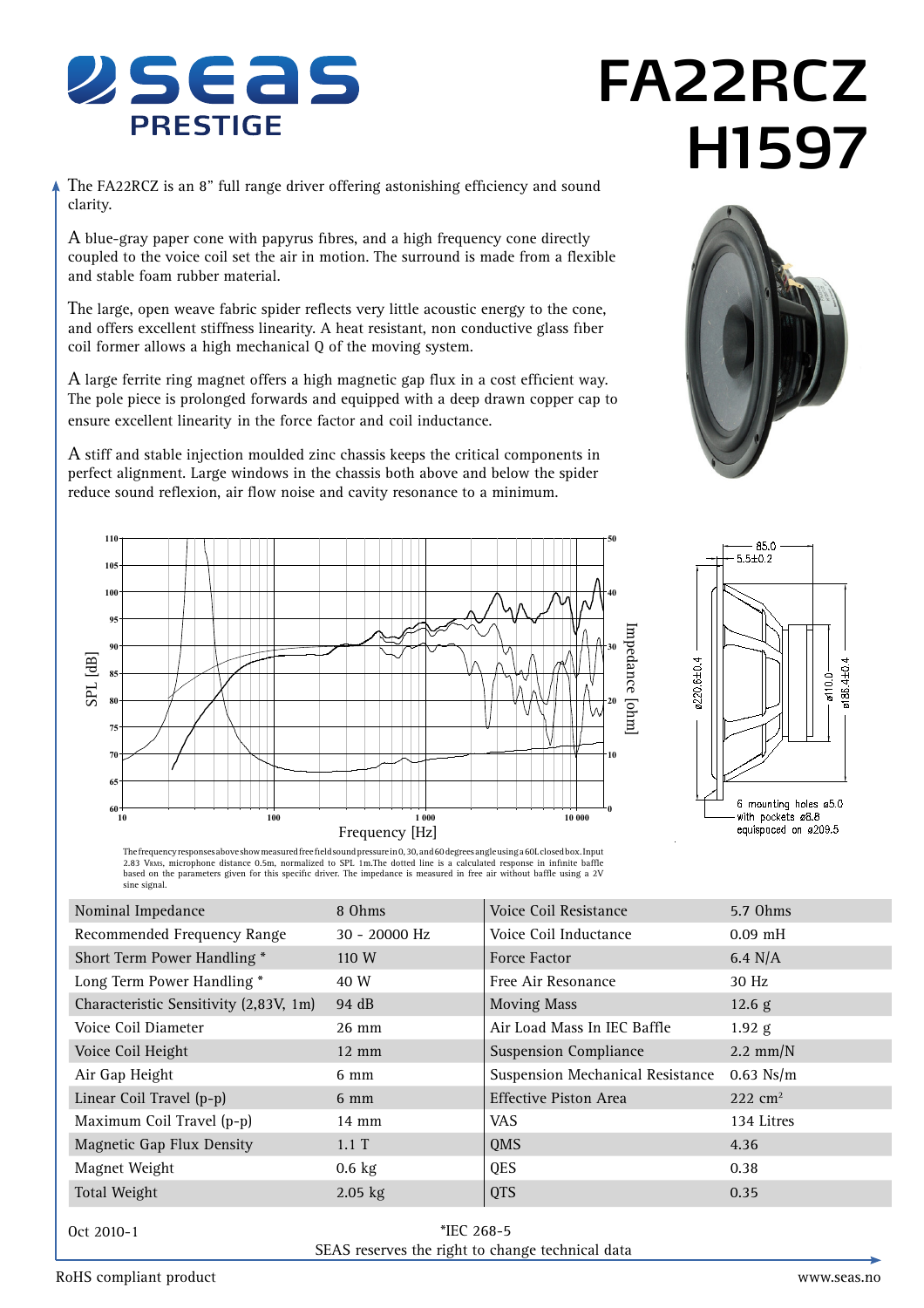

# **FA22RCZ H1597**

The FA22RCZ is an 8" full range driver offering astonishing efficiency and sound clarity.

A blue-gray paper cone with papyrus fibres, and a high frequency cone directly coupled to the voice coil set the air in motion. The surround is made from a flexible and stable foam rubber material.

The large, open weave fabric spider reflects very little acoustic energy to the cone, and offers excellent stiffness linearity. A heat resistant, non conductive glass fiber coil former allows a high mechanical Q of the moving system.

A large ferrite ring magnet offers a high magnetic gap flux in a cost efficient way. The pole piece is prolonged forwards and equipped with a deep drawn copper cap to ensure excellent linearity in the force factor and coil inductance.

A stiff and stable injection moulded zinc chassis keeps the critical components in perfect alignment. Large windows in the chassis both above and below the spider reduce sound reflexion, air flow noise and cavity resonance to a minimum.







The frequency responses above show measured free fieldsound pressure in 0, 30, and 60 degrees angle using a 60L closed box. Input<br>2.83 V&Ms, microphone distance 0.5m, normalized to SPL 1m.The dotted line is a c based on the parameters given for this specific driver. The impedance is measured in free air without baffle using a 2V sine signal.

| 8 Ohms          | <b>Voice Coil Resistance</b>            | 5.7 Ohms           |
|-----------------|-----------------------------------------|--------------------|
| 30 - 20000 Hz   | Voice Coil Inductance                   | $0.09$ mH          |
| 110 W           | <b>Force Factor</b>                     | $6.4$ N/A          |
| 40 W            | Free Air Resonance                      | 30 Hz              |
| 94 dB           | <b>Moving Mass</b>                      | 12.6 g             |
| $26 \text{ mm}$ | Air Load Mass In IEC Baffle             | $1.92$ g           |
| $12 \text{ mm}$ | <b>Suspension Compliance</b>            | $2.2 \text{ mm/N}$ |
| $6 \text{ mm}$  | <b>Suspension Mechanical Resistance</b> | $0.63$ Ns/m        |
| $6 \text{ mm}$  | <b>Effective Piston Area</b>            | $222 \text{ cm}^2$ |
| $14 \text{ mm}$ | VAS.                                    | 134 Litres         |
| $1.1 \text{ T}$ | QMS                                     | 4.36               |
| $0.6$ kg        | <b>QES</b>                              | 0.38               |
| $2.05$ kg       | <b>QTS</b>                              | 0.35               |
|                 |                                         |                    |

Oct 2010-1

 \*IEC 268-5 SEAS reserves the right to change technical data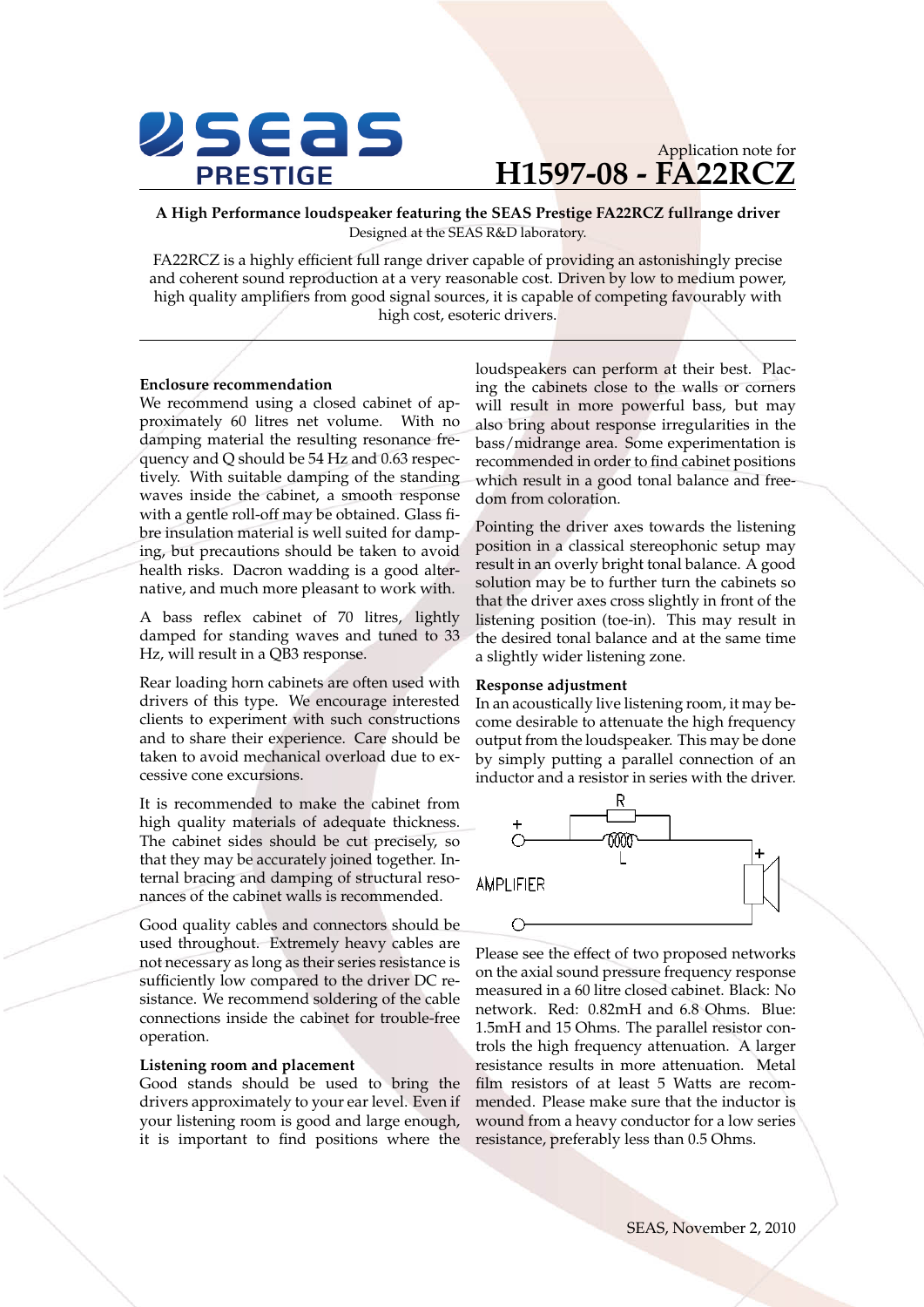

## Application note for **H1597-08 - FA22RCZ**

**A High Performance loudspeaker featuring the SEAS Prestige FA22RCZ fullrange driver** Designed at the SEAS R&D laboratory.

FA22RCZ is a highly efficient full range driver capable of providing an astonishingly precise and coherent sound reproduction at a very reasonable cost. Driven by low to medium power, high quality amplifiers from good signal sources, it is capable of competing favourably with high cost, esoteric drivers.

### **Enclosure recommendation**

We recommend using a closed cabinet of approximately 60 litres net volume. With no damping material the resulting resonance frequency and Q should be 54 Hz and 0.63 respectively. With suitable damping of the standing waves inside the cabinet, a smooth response with a gentle roll-off may be obtained. Glass fibre insulation material is well suited for damping, but precautions should be taken to avoid health risks. Dacron wadding is a good alternative, and much more pleasant to work with.

A bass reflex cabinet of 70 litres, lightly damped for standing waves and tuned to 33 Hz, will result in a QB3 response.

Rear loading horn cabinets are often used with drivers of this type. We encourage interested clients to experiment with such constructions and to share their experience. Care should be taken to avoid mechanical overload due to excessive cone excursions.

It is recommended to make the cabinet from high quality materials of adequate thickness. The cabinet sides should be cut precisely, so that they may be accurately joined together. Internal bracing and damping of structural resonances of the cabinet walls is recommended.

Good quality cables and connectors should be used throughout. Extremely heavy cables are not necessary as long as their series resistance is sufficiently low compared to the driver DC resistance. We recommend soldering of the cable connections inside the cabinet for trouble-free operation.

#### **Listening room and placement**

Good stands should be used to bring the drivers approximately to your ear level. Even if your listening room is good and large enough, it is important to find positions where the

loudspeakers can perform at their best. Placing the cabinets close to the walls or corners will result in more powerful bass, but may also bring about response irregularities in the bass/midrange area. Some experimentation is recommended in order to find cabinet positions which result in a good tonal balance and freedom from coloration.

Pointing the driver axes towards the listening position in a classical stereophonic setup may result in an overly bright tonal balance. A good solution may be to further turn the cabinets so that the driver axes cross slightly in front of the listening position (toe-in). This may result in the desired tonal balance and at the same time a slightly wider listening zone.

#### **Response adjustment**

In an acoustically live listening room, it may become desirable to attenuate the high frequency output from the loudspeaker. This may be done by simply putting a parallel connection of an inductor and a resistor in series with the driver.



Please see the effect of two proposed networks on the axial sound pressure frequency response measured in a 60 litre closed cabinet. Black: No network. Red: 0.82mH and 6.8 Ohms. Blue: 1.5mH and 15 Ohms. The parallel resistor controls the high frequency attenuation. A larger resistance results in more attenuation. Metal film resistors of at least 5 Watts are recommended. Please make sure that the inductor is wound from a heavy conductor for a low series resistance, preferably less than 0.5 Ohms.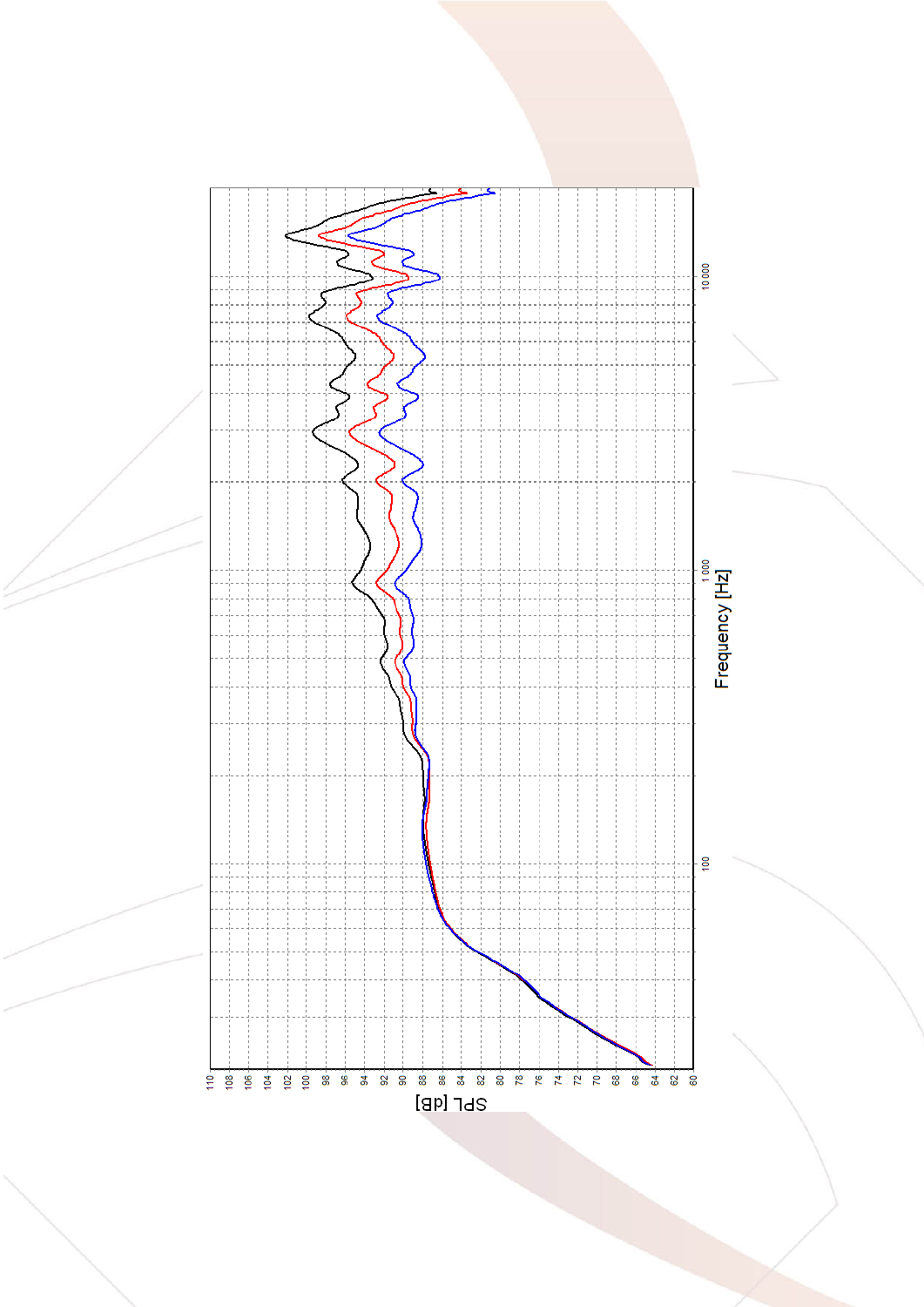